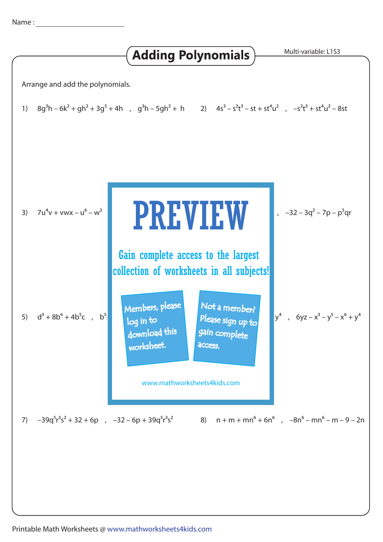